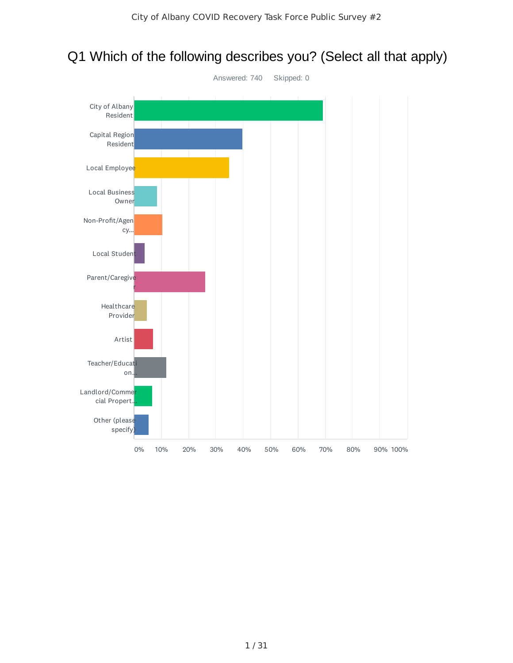

## Q1 Which of the following describes you? (Select all that apply)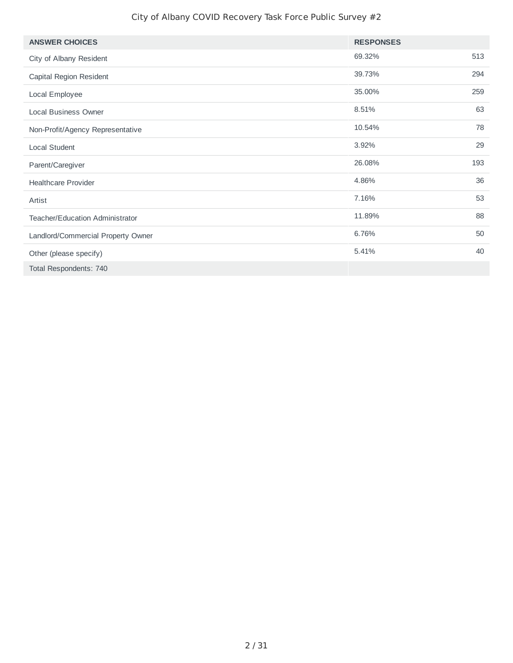| <b>ANSWER CHOICES</b>                  | <b>RESPONSES</b> |     |
|----------------------------------------|------------------|-----|
| City of Albany Resident                | 69.32%           | 513 |
| Capital Region Resident                | 39.73%           | 294 |
| Local Employee                         | 35.00%           | 259 |
| <b>Local Business Owner</b>            | 8.51%            | 63  |
| Non-Profit/Agency Representative       | 10.54%           | 78  |
| Local Student                          | 3.92%            | 29  |
| Parent/Caregiver                       | 26.08%           | 193 |
| <b>Healthcare Provider</b>             | 4.86%            | 36  |
| Artist                                 | 7.16%            | 53  |
| <b>Teacher/Education Administrator</b> | 11.89%           | 88  |
| Landlord/Commercial Property Owner     | 6.76%            | 50  |
| Other (please specify)                 | 5.41%            | 40  |
| Total Respondents: 740                 |                  |     |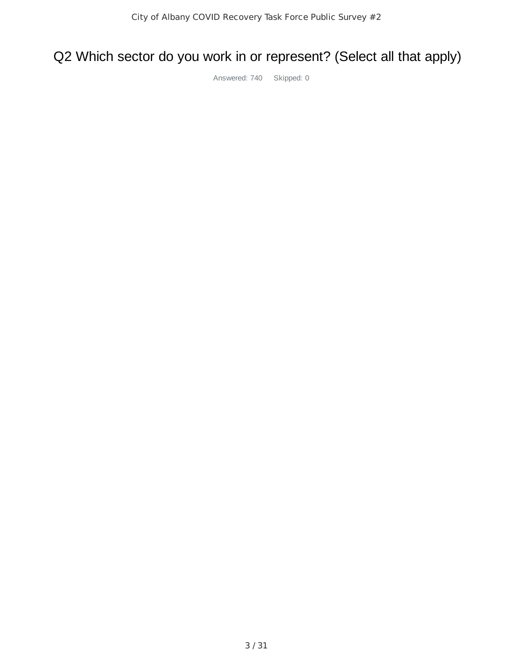## Q2 Which sector do you work in or represent? (Select all that apply)

Answered: 740 Skipped: 0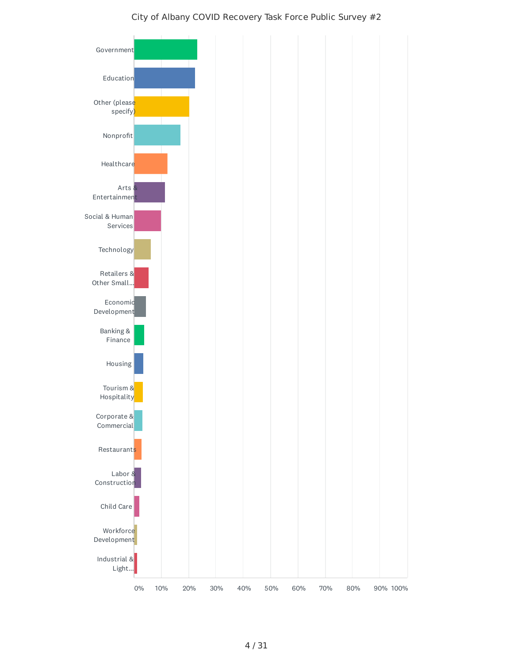

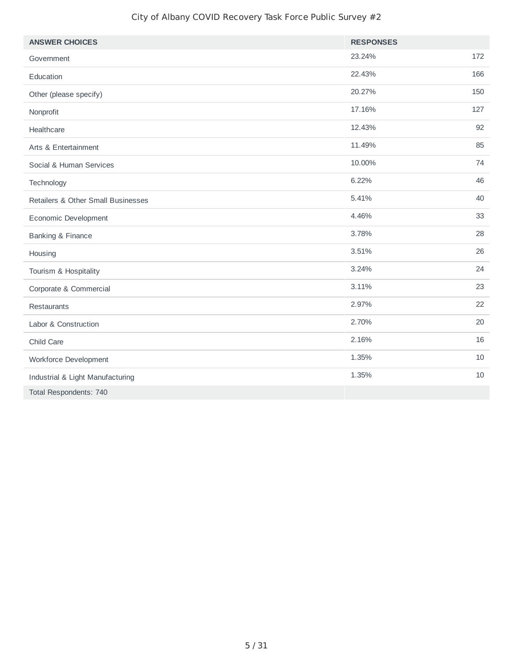| <b>ANSWER CHOICES</b>              | <b>RESPONSES</b> |     |
|------------------------------------|------------------|-----|
| Government                         | 23.24%           | 172 |
| Education                          | 22.43%           | 166 |
| Other (please specify)             | 20.27%           | 150 |
| Nonprofit                          | 17.16%           | 127 |
| Healthcare                         | 12.43%           | 92  |
| Arts & Entertainment               | 11.49%           | 85  |
| Social & Human Services            | 10.00%           | 74  |
| Technology                         | 6.22%            | 46  |
| Retailers & Other Small Businesses | 5.41%            | 40  |
| Economic Development               | 4.46%            | 33  |
| Banking & Finance                  | 3.78%            | 28  |
| Housing                            | 3.51%            | 26  |
| Tourism & Hospitality              | 3.24%            | 24  |
| Corporate & Commercial             | 3.11%            | 23  |
| Restaurants                        | 2.97%            | 22  |
| Labor & Construction               | 2.70%            | 20  |
| Child Care                         | 2.16%            | 16  |
| Workforce Development              | 1.35%            | 10  |
| Industrial & Light Manufacturing   | 1.35%            | 10  |
| Total Respondents: 740             |                  |     |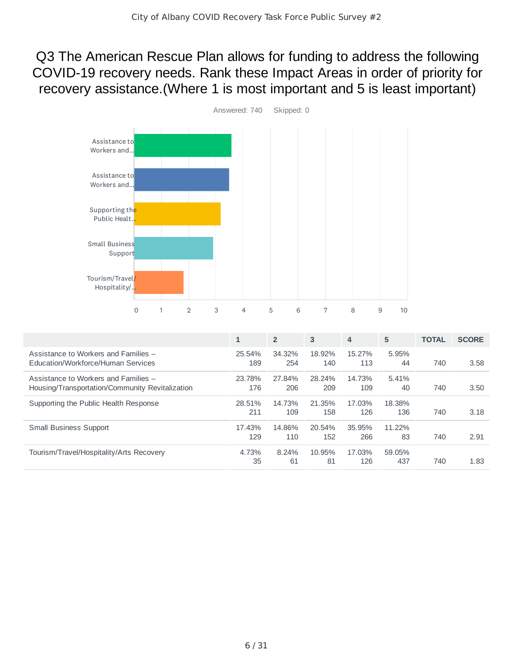Q3 The American Rescue Plan allows for funding to address the following COVID-19 recovery needs. Rank these Impact Areas in order of priority for recovery assistance.(Where 1 is most important and 5 is least important)



|                                                                                         | $\mathbf{1}$  | $\overline{2}$ | 3             | $\overline{4}$ | 5             | <b>TOTAL</b> | <b>SCORE</b> |
|-----------------------------------------------------------------------------------------|---------------|----------------|---------------|----------------|---------------|--------------|--------------|
| Assistance to Workers and Families -<br>Education/Workforce/Human Services              | 25.54%<br>189 | 34.32%<br>254  | 18.92%<br>140 | 15.27%<br>113  | 5.95%<br>44   | 740          | 3.58         |
| Assistance to Workers and Families -<br>Housing/Transportation/Community Revitalization | 23.78%<br>176 | 27.84%<br>206  | 28.24%<br>209 | 14.73%<br>109  | 5.41%<br>40   | 740          | 3.50         |
| Supporting the Public Health Response                                                   | 28.51%<br>211 | 14.73%<br>109  | 21.35%<br>158 | 17.03%<br>126  | 18.38%<br>136 | 740          | 3.18         |
| <b>Small Business Support</b>                                                           | 17.43%<br>129 | 14.86%<br>110  | 20.54%<br>152 | 35.95%<br>266  | 11.22%<br>83  | 740          | 2.91         |
| Tourism/Travel/Hospitality/Arts Recovery                                                | 4.73%<br>35   | 8.24%<br>61    | 10.95%<br>81  | 17.03%<br>126  | 59.05%<br>437 | 740          | 1.83         |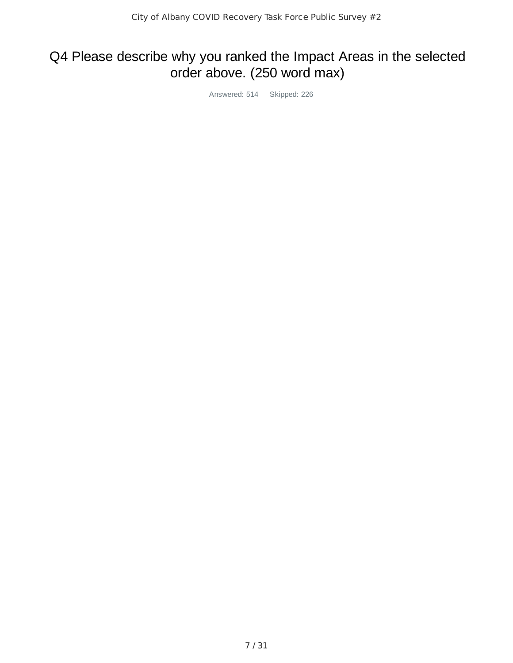## Q4 Please describe why you ranked the Impact Areas in the selected order above. (250 word max)

Answered: 514 Skipped: 226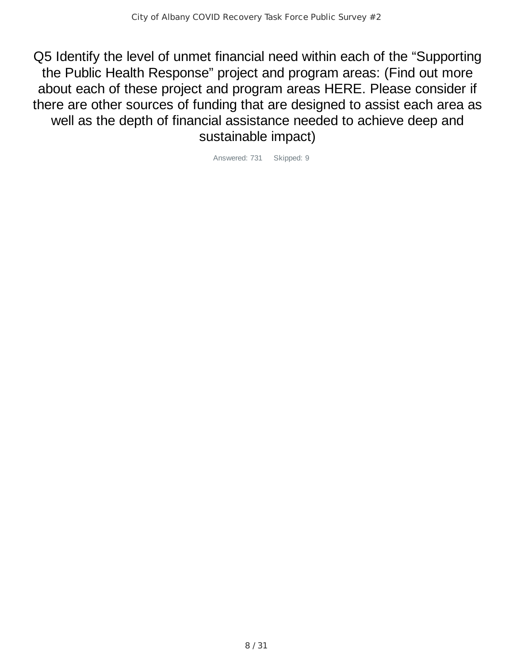Q5 Identify the level of unmet financial need within each of the "Supporting the Public Health Response" project and program areas: (Find out more about each of these project and program areas HERE. Please consider if there are other sources of funding that are designed to assist each area as well as the depth of financial assistance needed to achieve deep and sustainable impact)

Answered: 731 Skipped: 9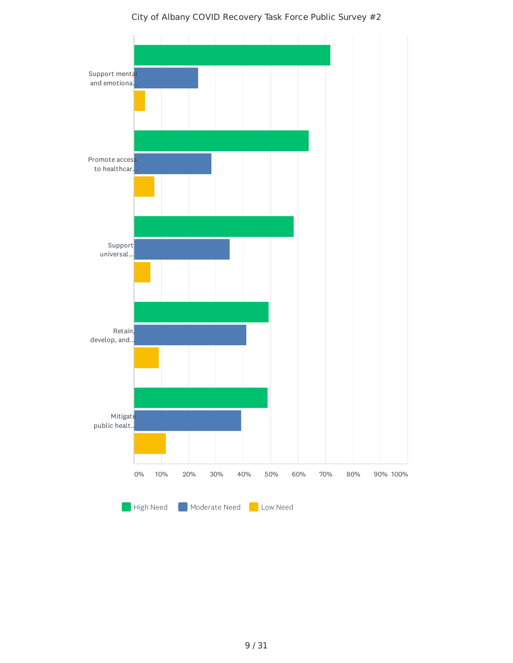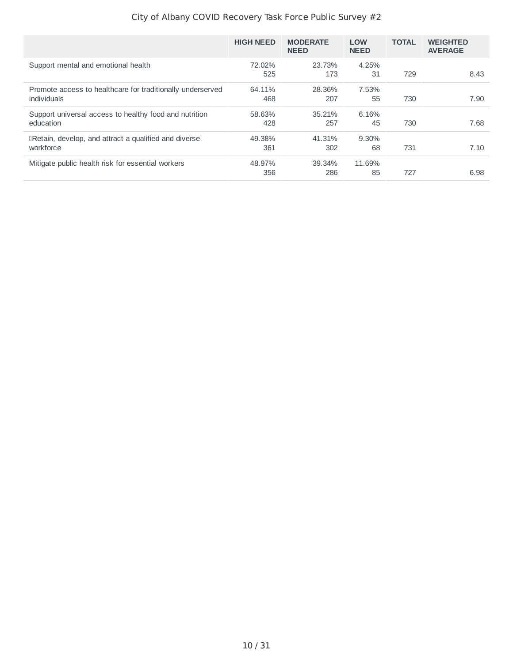|                                                                           | <b>HIGH NEED</b> | <b>MODERATE</b><br><b>NEED</b> | <b>LOW</b><br><b>NEED</b> | <b>TOTAL</b> | <b>WEIGHTED</b><br><b>AVERAGE</b> |
|---------------------------------------------------------------------------|------------------|--------------------------------|---------------------------|--------------|-----------------------------------|
| Support mental and emotional health                                       | 72.02%<br>525    | 23.73%<br>173                  | 4.25%<br>31               | 729          | 8.43                              |
| Promote access to healthcare for traditionally underserved<br>individuals | 64.11%<br>468    | 28.36%<br>207                  | 7.53%<br>55               | 730          | 7.90                              |
| Support universal access to healthy food and nutrition<br>education       | 58.63%<br>428    | 35.21%<br>257                  | 6.16%<br>45               | 730          | 7.68                              |
| <b>IRetain, develop, and attract a qualified and diverse</b><br>workforce | 49.38%<br>361    | 41.31%<br>302                  | 9.30%<br>68               | 731          | 7.10                              |
| Mitigate public health risk for essential workers                         | 48.97%<br>356    | 39.34%<br>286                  | 11.69%<br>85              | 727          | 6.98                              |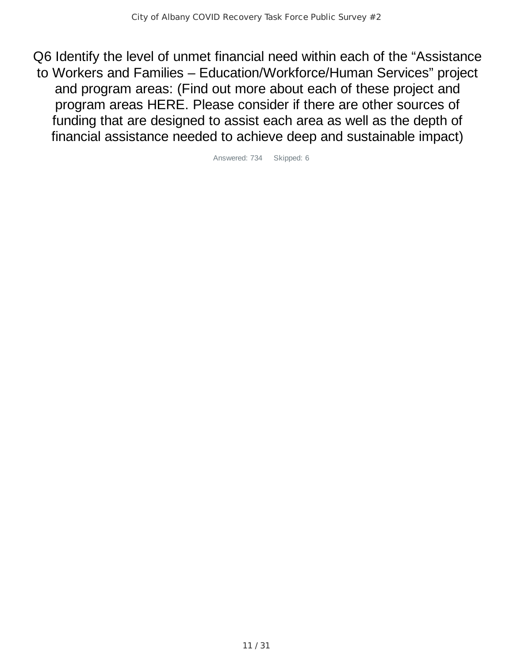Q6 Identify the level of unmet financial need within each of the "Assistance to Workers and Families – Education/Workforce/Human Services" project and program areas: (Find out more about each of these project and program areas HERE. Please consider if there are other sources of funding that are designed to assist each area as well as the depth of financial assistance needed to achieve deep and sustainable impact)

Answered: 734 Skipped: 6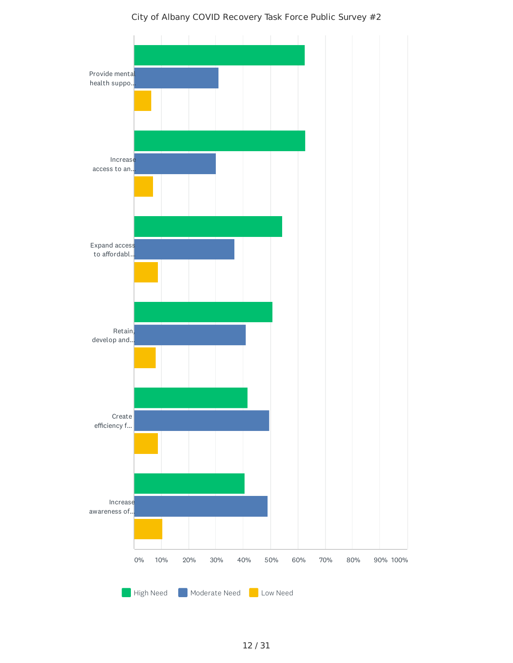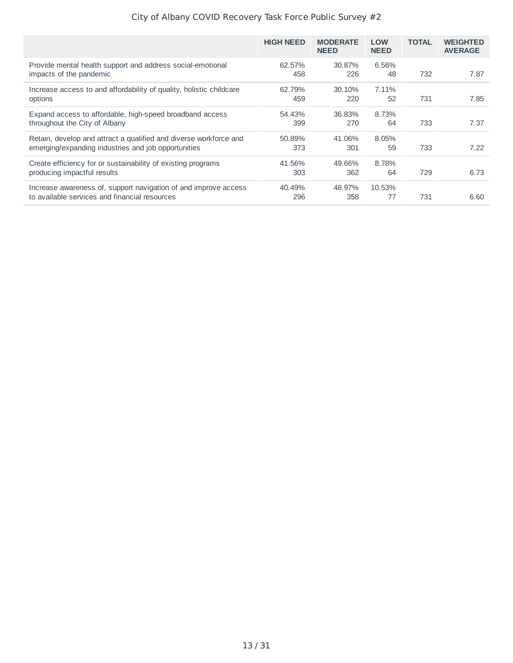|                                                                                                                          | <b>HIGH NEED</b> | <b>MODERATE</b><br><b>NEED</b> | <b>LOW</b><br><b>NEED</b> | <b>TOTAL</b> | <b>WEIGHTED</b><br><b>AVERAGE</b> |
|--------------------------------------------------------------------------------------------------------------------------|------------------|--------------------------------|---------------------------|--------------|-----------------------------------|
| Provide mental health support and address social-emotional<br>impacts of the pandemic                                    | 62.57%<br>458    | 30.87%<br>226                  | 6.56%<br>48               | 732          | 7.87                              |
| Increase access to and affordability of quality, holistic childcare<br>options                                           | 62.79%<br>459    | $30.10\%$<br>220               | 7.11%<br>52               | 731          | 7.85                              |
| Expand access to affordable, high-speed broadband access<br>throughout the City of Albany                                | 54.43%<br>399    | 36.83%<br>270                  | 8.73%<br>64               | 733          | 7.37                              |
| Retain, develop and attract a qualified and diverse workforce and<br>emerging/expanding industries and job opportunities | 50.89%<br>373    | 41.06%<br>301                  | 8.05%<br>59               | 733          | 7.22                              |
| Create efficiency for or sustainability of existing programs<br>producing impactful results                              | 41.56%<br>303    | 49.66%<br>362                  | 8.78%<br>64               | 729          | 6.73                              |
| Increase awareness of, support navigation of and improve access<br>to available services and financial resources         | 40.49%<br>296    | 48.97%<br>358                  | 10.53%<br>77              | 731          | 6.60                              |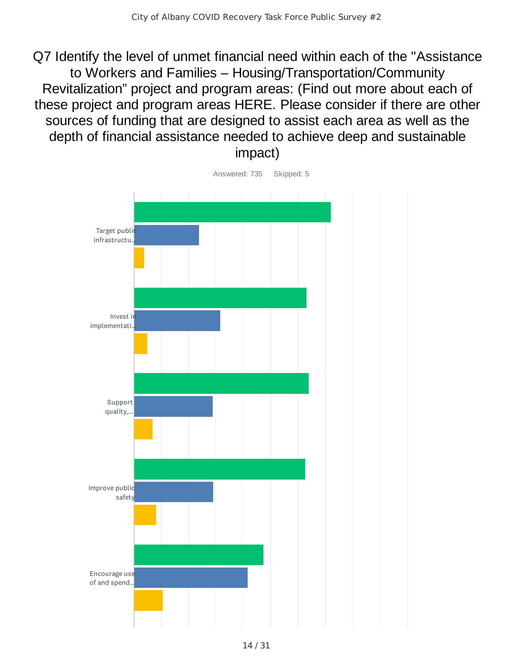Q7 Identify the level of unmet financial need within each of the "Assistance to Workers and Families – Housing/Transportation/Community Revitalization" project and program areas: (Find out more about each of these project and program areas HERE. Please consider if there are other sources of funding that are designed to assist each area as well as the depth of financial assistance needed to achieve deep and sustainable impact)



Answered: 735 Skipped: 5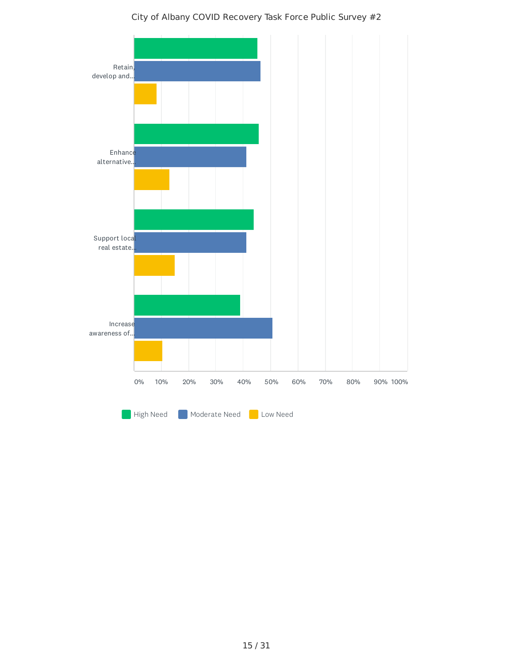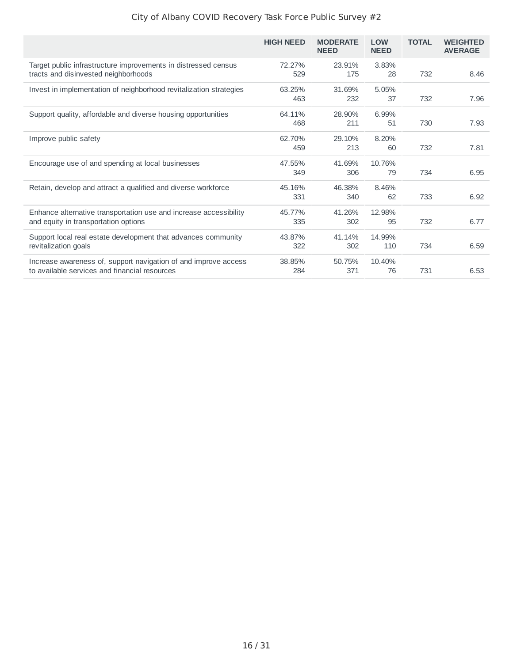|                                                                                                                  | <b>HIGH NEED</b> | <b>MODERATE</b><br><b>NEED</b> | <b>LOW</b><br><b>NEED</b> | <b>TOTAL</b> | <b>WEIGHTED</b><br><b>AVERAGE</b> |
|------------------------------------------------------------------------------------------------------------------|------------------|--------------------------------|---------------------------|--------------|-----------------------------------|
| Target public infrastructure improvements in distressed census<br>tracts and disinvested neighborhoods           | 72.27%<br>529    | 23.91%<br>175                  | 3.83%<br>28               | 732          | 8.46                              |
| Invest in implementation of neighborhood revitalization strategies                                               | 63.25%<br>463    | 31.69%<br>232                  | 5.05%<br>37               | 732          | 7.96                              |
| Support quality, affordable and diverse housing opportunities                                                    | 64.11%<br>468    | 28.90%<br>211                  | 6.99%<br>51               | 730          | 7.93                              |
| Improve public safety                                                                                            | 62.70%<br>459    | 29.10%<br>213                  | 8.20%<br>60               | 732          | 7.81                              |
| Encourage use of and spending at local businesses                                                                | 47.55%<br>349    | 41.69%<br>306                  | 10.76%<br>79              | 734          | 6.95                              |
| Retain, develop and attract a qualified and diverse workforce                                                    | 45.16%<br>331    | 46.38%<br>340                  | 8.46%<br>62               | 733          | 6.92                              |
| Enhance alternative transportation use and increase accessibility<br>and equity in transportation options        | 45.77%<br>335    | 41.26%<br>302                  | 12.98%<br>95              | 732          | 6.77                              |
| Support local real estate development that advances community<br>revitalization goals                            | 43.87%<br>322    | 41.14%<br>302                  | 14.99%<br>110             | 734          | 6.59                              |
| Increase awareness of, support navigation of and improve access<br>to available services and financial resources | 38.85%<br>284    | 50.75%<br>371                  | 10.40%<br>76              | 731          | 6.53                              |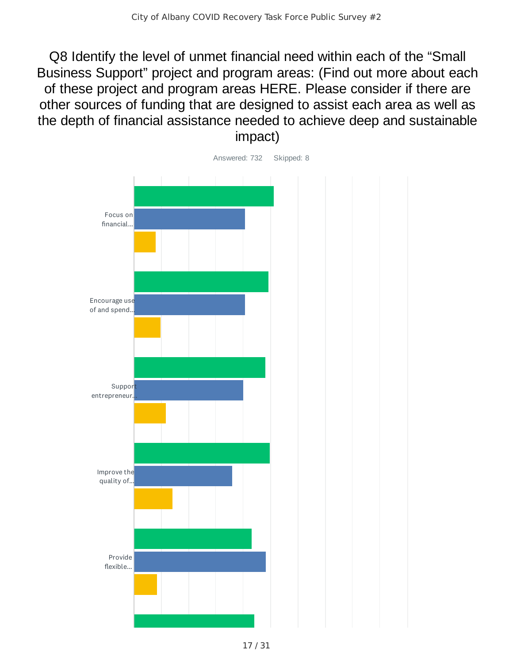Q8 Identify the level of unmet financial need within each of the "Small Business Support" project and program areas: (Find out more about each of these project and program areas HERE. Please consider if there are other sources of funding that are designed to assist each area as well as the depth of financial assistance needed to achieve deep and sustainable impact)

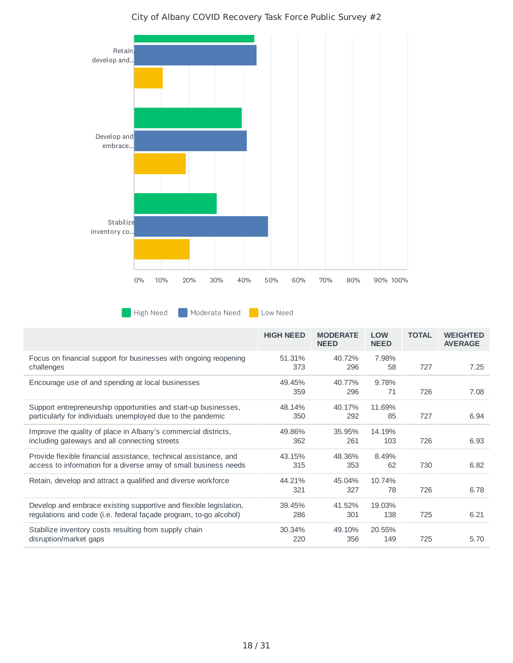

**Moderate Need Company** Low Need

|                                                                                                                                        | <b>HIGH NEED</b> | <b>MODERATE</b><br><b>NEED</b> | <b>LOW</b><br><b>NEED</b> | <b>TOTAL</b> | <b>WEIGHTED</b><br><b>AVERAGE</b> |
|----------------------------------------------------------------------------------------------------------------------------------------|------------------|--------------------------------|---------------------------|--------------|-----------------------------------|
| Focus on financial support for businesses with ongoing reopening<br>challenges                                                         | 51.31%<br>373    | 40.72%<br>296                  | 7.98%<br>58               | 727          | 7.25                              |
| Encourage use of and spending at local businesses                                                                                      | 49.45%<br>359    | 40.77%<br>296                  | 9.78%<br>71               | 726          | 7.08                              |
| Support entrepreneurship opportunities and start-up businesses,<br>particularly for individuals unemployed due to the pandemic         | 48.14%<br>350    | 40.17%<br>292                  | 11.69%<br>85              | 727          | 6.94                              |
| Improve the quality of place in Albany's commercial districts,<br>including gateways and all connecting streets                        | 49.86%<br>362    | 35.95%<br>261                  | 14.19%<br>103             | 726          | 6.93                              |
| Provide flexible financial assistance, technical assistance, and<br>access to information for a diverse array of small business needs  | 43.15%<br>315    | 48.36%<br>353                  | 8.49%<br>62               | 730          | 6.82                              |
| Retain, develop and attract a qualified and diverse workforce                                                                          | 44.21%<br>321    | 45.04%<br>327                  | 10.74%<br>78              | 726          | 6.78                              |
| Develop and embrace existing supportive and flexible legislation,<br>regulations and code (i.e. federal façade program, to-go alcohol) | 39.45%<br>286    | 41.52%<br>301                  | 19.03%<br>138             | 725          | 6.21                              |
| Stabilize inventory costs resulting from supply chain<br>disruption/market gaps                                                        | 30.34%<br>220    | 49.10%<br>356                  | 20.55%<br>149             | 725          | 5.70                              |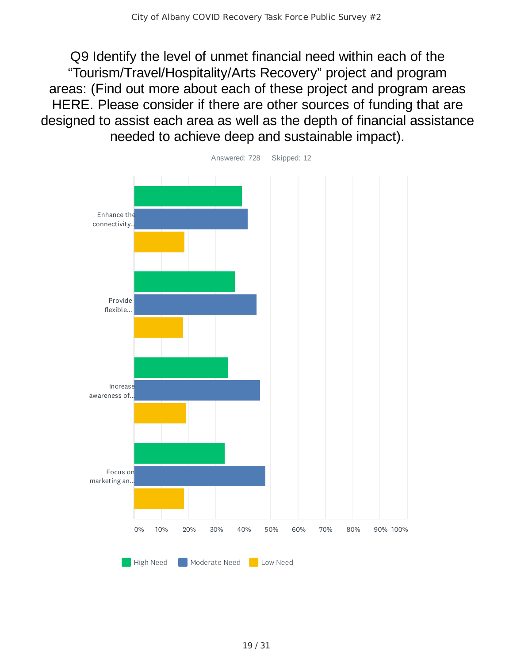Q9 Identify the level of unmet financial need within each of the "Tourism/Travel/Hospitality/Arts Recovery" project and program areas: (Find out more about each of these project and program areas HERE. Please consider if there are other sources of funding that are designed to assist each area as well as the depth of financial assistance needed to achieve deep and sustainable impact).

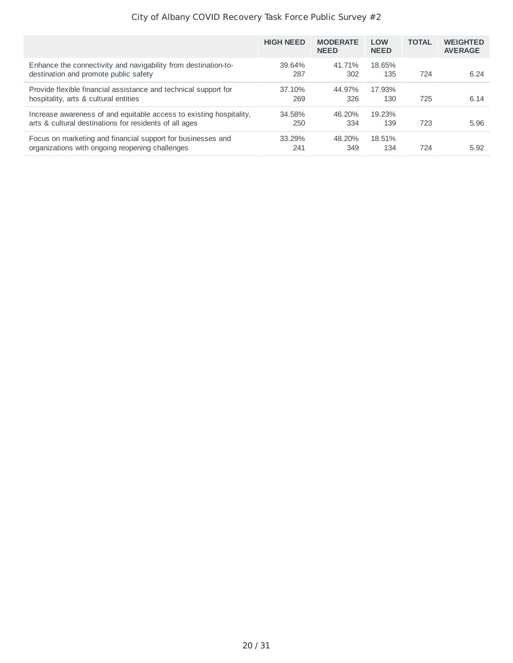|                                                                                                                               | <b>HIGH NEED</b> | <b>MODERATE</b><br><b>NEED</b> | <b>LOW</b><br><b>NEED</b> | <b>TOTAL</b> | <b>WEIGHTED</b><br><b>AVERAGE</b> |
|-------------------------------------------------------------------------------------------------------------------------------|------------------|--------------------------------|---------------------------|--------------|-----------------------------------|
| Enhance the connectivity and navigability from destination-to-<br>destination and promote public safety                       | 39.64%<br>287    | 41.71%<br>302                  | 18.65%<br>135             | 724          | 6.24                              |
| Provide flexible financial assistance and technical support for<br>hospitality, arts & cultural entities                      | 37.10%<br>269    | 44.97%<br>326                  | 17.93%<br>130             | 725          | 6.14                              |
| Increase awareness of and equitable access to existing hospitality,<br>arts & cultural destinations for residents of all ages | 34.58%<br>250    | 46.20%<br>334                  | 19.23%<br>139             | 723          | 5.96                              |
| Focus on marketing and financial support for businesses and<br>organizations with ongoing reopening challenges                | 33.29%<br>241    | 48.20%<br>349                  | 18.51%<br>134             | 724          | 5.92                              |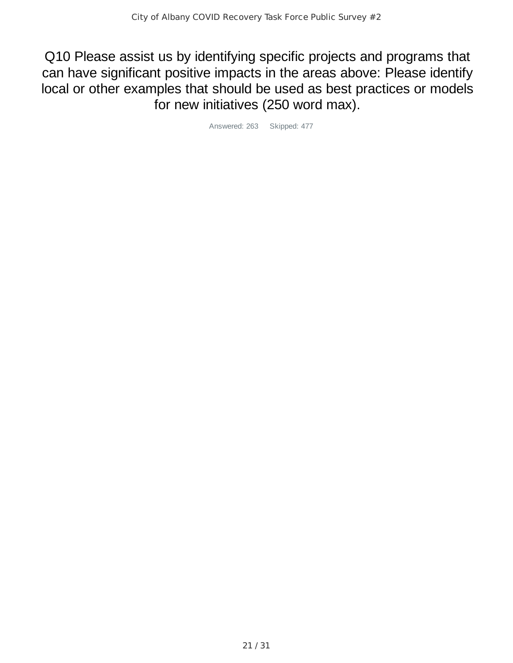Q10 Please assist us by identifying specific projects and programs that can have significant positive impacts in the areas above: Please identify local or other examples that should be used as best practices or models for new initiatives (250 word max).

Answered: 263 Skipped: 477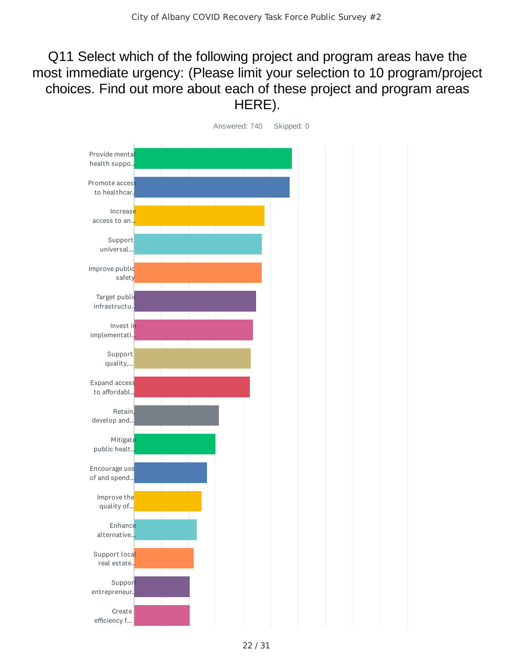## Q11 Select which of the following project and program areas have the most immediate urgency: (Please limit your selection to 10 program/project choices. Find out more about each of these project and program areas HERE).

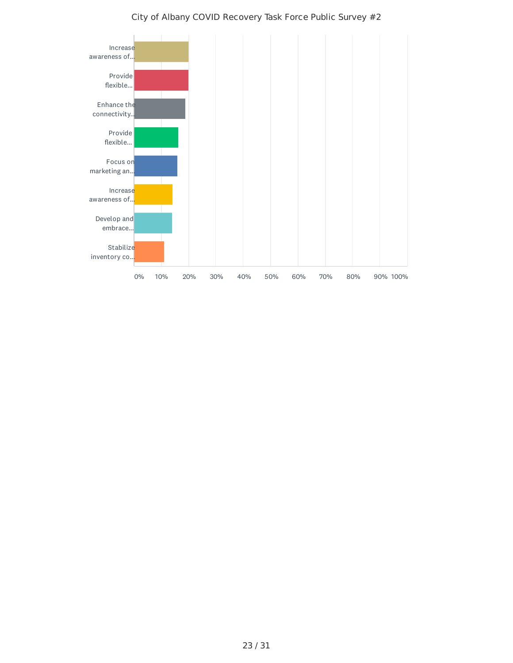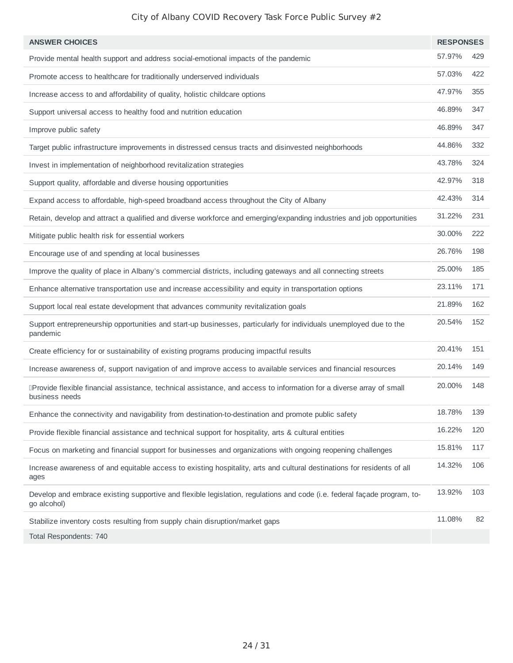| <b>ANSWER CHOICES</b>                                                                                                                   | <b>RESPONSES</b> |     |
|-----------------------------------------------------------------------------------------------------------------------------------------|------------------|-----|
| Provide mental health support and address social-emotional impacts of the pandemic                                                      | 57.97%           | 429 |
| Promote access to healthcare for traditionally underserved individuals                                                                  | 57.03%           | 422 |
| Increase access to and affordability of quality, holistic childcare options                                                             | 47.97%           | 355 |
| Support universal access to healthy food and nutrition education                                                                        | 46.89%           | 347 |
| Improve public safety                                                                                                                   | 46.89%           | 347 |
| Target public infrastructure improvements in distressed census tracts and disinvested neighborhoods                                     | 44.86%           | 332 |
| Invest in implementation of neighborhood revitalization strategies                                                                      | 43.78%           | 324 |
| Support quality, affordable and diverse housing opportunities                                                                           | 42.97%           | 318 |
| Expand access to affordable, high-speed broadband access throughout the City of Albany                                                  | 42.43%           | 314 |
| Retain, develop and attract a qualified and diverse workforce and emerging/expanding industries and job opportunities                   | 31.22%           | 231 |
| Mitigate public health risk for essential workers                                                                                       | 30.00%           | 222 |
| Encourage use of and spending at local businesses                                                                                       | 26.76%           | 198 |
| Improve the quality of place in Albany's commercial districts, including gateways and all connecting streets                            | 25.00%           | 185 |
| Enhance alternative transportation use and increase accessibility and equity in transportation options                                  | 23.11%           | 171 |
| Support local real estate development that advances community revitalization goals                                                      | 21.89%           | 162 |
| Support entrepreneurship opportunities and start-up businesses, particularly for individuals unemployed due to the<br>pandemic          | 20.54%           | 152 |
| Create efficiency for or sustainability of existing programs producing impactful results                                                | 20.41%           | 151 |
| Increase awareness of, support navigation of and improve access to available services and financial resources                           | 20.14%           | 149 |
| IProvide flexible financial assistance, technical assistance, and access to information for a diverse array of small<br>business needs  | 20.00%           | 148 |
| Enhance the connectivity and navigability from destination-to-destination and promote public safety                                     | 18.78%           | 139 |
| Provide flexible financial assistance and technical support for hospitality, arts & cultural entities                                   | 16.22%           | 120 |
| Focus on marketing and financial support for businesses and organizations with ongoing reopening challenges                             | 15.81%           | 117 |
| Increase awareness of and equitable access to existing hospitality, arts and cultural destinations for residents of all<br>ages         | 14.32%           | 106 |
| Develop and embrace existing supportive and flexible legislation, regulations and code (i.e. federal façade program, to-<br>go alcohol) | 13.92%           | 103 |
| Stabilize inventory costs resulting from supply chain disruption/market gaps                                                            | 11.08%           | 82  |
|                                                                                                                                         |                  |     |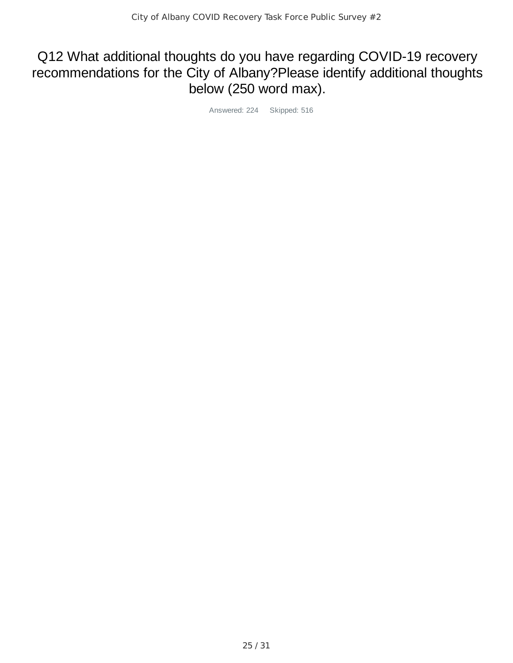## Q12 What additional thoughts do you have regarding COVID-19 recovery recommendations for the City of Albany?Please identify additional thoughts below (250 word max).

Answered: 224 Skipped: 516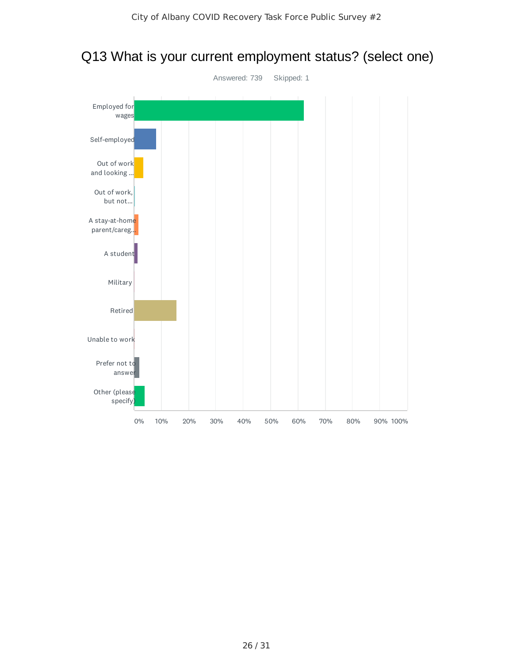

### Q13 What is your current employment status? (select one)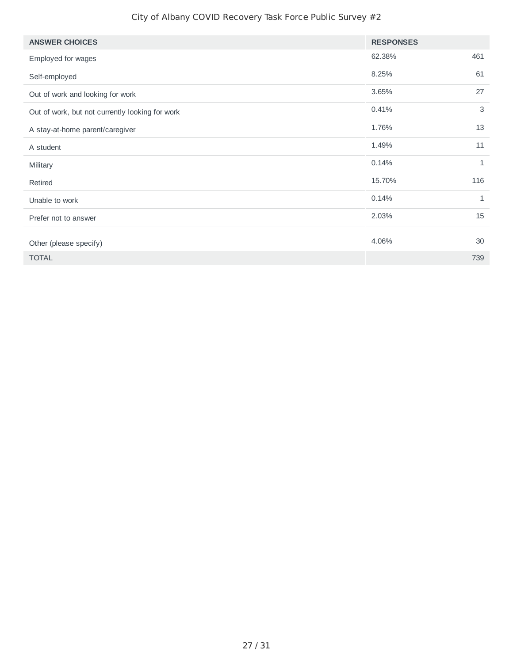| <b>ANSWER CHOICES</b>                           | <b>RESPONSES</b> |              |
|-------------------------------------------------|------------------|--------------|
| Employed for wages                              | 62.38%           | 461          |
| Self-employed                                   | 8.25%            | 61           |
| Out of work and looking for work                | 3.65%            | 27           |
| Out of work, but not currently looking for work | 0.41%            | 3            |
| A stay-at-home parent/caregiver                 | 1.76%            | 13           |
| A student                                       | 1.49%            | 11           |
| Military                                        | 0.14%            | 1            |
| Retired                                         | 15.70%           | 116          |
| Unable to work                                  | 0.14%            | $\mathbf{1}$ |
| Prefer not to answer                            | 2.03%            | 15           |
| Other (please specify)                          | 4.06%            | 30           |
| <b>TOTAL</b>                                    |                  | 739          |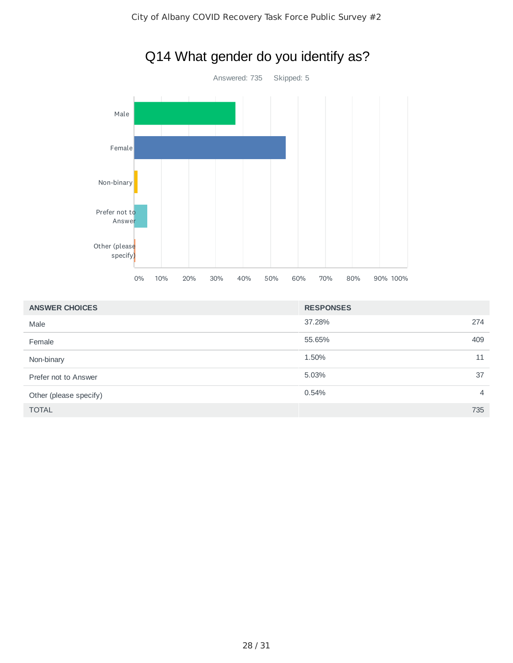

| <b>ANSWER CHOICES</b>  | <b>RESPONSES</b>        |
|------------------------|-------------------------|
| Male                   | 37.28%<br>274           |
| Female                 | 55.65%<br>409           |
| Non-binary             | 1.50%<br>11             |
| Prefer not to Answer   | 5.03%<br>37             |
| Other (please specify) | 0.54%<br>$\overline{4}$ |
| <b>TOTAL</b>           | 735                     |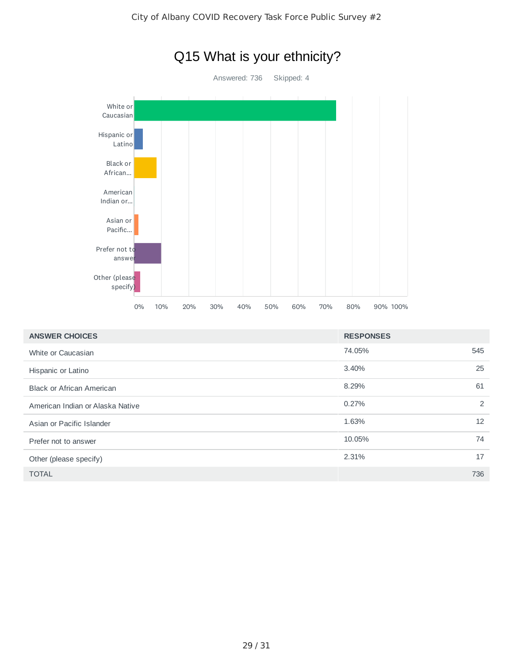

| <b>ANSWER CHOICES</b>            | <b>RESPONSES</b> |     |
|----------------------------------|------------------|-----|
| White or Caucasian               | 74.05%           | 545 |
| Hispanic or Latino               | 3.40%            | 25  |
| <b>Black or African American</b> | 8.29%            | 61  |
| American Indian or Alaska Native | 0.27%            | 2   |
| Asian or Pacific Islander        | 1.63%            | 12  |
| Prefer not to answer             | 10.05%           | 74  |
| Other (please specify)           | 2.31%            | 17  |
| <b>TOTAL</b>                     |                  | 736 |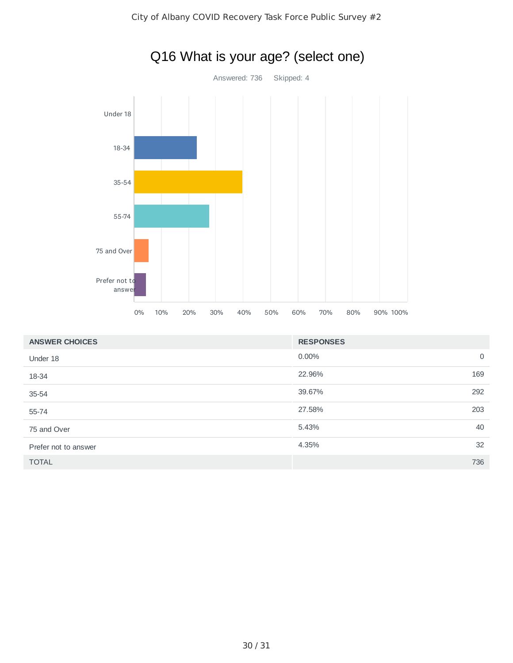

| <b>ANSWER CHOICES</b> | <b>RESPONSES</b> |             |
|-----------------------|------------------|-------------|
| Under 18              | $0.00\%$         | $\mathbf 0$ |
| 18-34                 | 22.96%<br>169    |             |
| $35 - 54$             | 39.67%<br>292    |             |
| 55-74                 | 27.58%<br>203    |             |
| 75 and Over           | 40<br>5.43%      |             |
| Prefer not to answer  | 32<br>4.35%      |             |
| <b>TOTAL</b>          | 736              |             |

## Q16 What is your age? (select one)